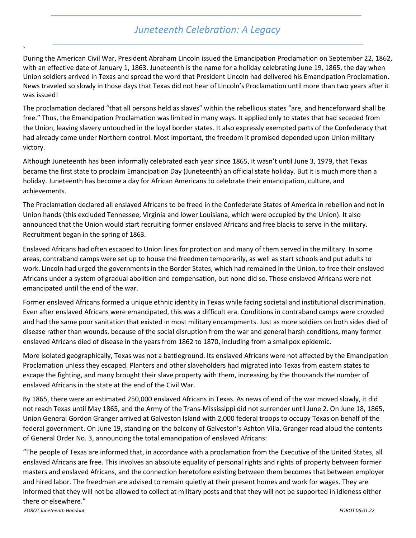## *Juneteenth Celebration: A Legacy*

During the American Civil War, President Abraham Lincoln issued the Emancipation Proclamation on September 22, 1862, with an effective date of January 1, 1863. Juneteenth is the name for a holiday celebrating June 19, 1865, the day when Union soldiers arrived in Texas and spread the word that President Lincoln had delivered his Emancipation Proclamation. News traveled so slowly in those days that Texas did not hear of Lincoln's Proclamation until more than two years after it was issued!

The proclamation declared "that all persons held as slaves" within the rebellious states "are, and henceforward shall be free." Thus, the Emancipation Proclamation was limited in many ways. It applied only to states that had seceded from the Union, leaving slavery untouched in the loyal border states. It also expressly exempted parts of the Confederacy that had already come under Northern control. Most important, the freedom it promised depended upon Union military victory.

Although Juneteenth has been informally celebrated each year since 1865, it wasn't until June 3, 1979, that Texas became the first state to proclaim Emancipation Day (Juneteenth) an official state holiday. But it is much more than a holiday. Juneteenth has become a day for African Americans to celebrate their emancipation, culture, and achievements.

The Proclamation declared all enslaved Africans to be freed in the Confederate States of America in rebellion and not in Union hands (this excluded Tennessee, Virginia and lower Louisiana, which were occupied by the Union). It also announced that the Union would start recruiting former enslaved Africans and free blacks to serve in the military. Recruitment began in the spring of 1863.

Enslaved Africans had often escaped to Union lines for protection and many of them served in the military. In some areas, contraband camps were set up to house the freedmen temporarily, as well as start schools and put adults to work. Lincoln had urged the governments in the Border States, which had remained in the Union, to free their enslaved Africans under a system of gradual abolition and compensation, but none did so. Those enslaved Africans were not emancipated until the end of the war.

Former enslaved Africans formed a unique ethnic identity in Texas while facing societal and institutional discrimination. Even after enslaved Africans were emancipated, this was a difficult era. Conditions in contraband camps were crowded and had the same poor sanitation that existed in most military encampments. Just as more soldiers on both sides died of disease rather than wounds, because of the social disruption from the war and general harsh conditions, many former enslaved Africans died of disease in the years from 1862 to 1870, including from a smallpox epidemic.

More isolated geographically, Texas was not a battleground. Its enslaved Africans were not affected by the Emancipation Proclamation unless they escaped. Planters and other slaveholders had migrated into Texas from eastern states to escape the fighting, and many brought their slave property with them, increasing by the thousands the number of enslaved Africans in the state at the end of the Civil War.

By 1865, there were an estimated 250,000 enslaved Africans in Texas. As news of end of the war moved slowly, it did not reach Texas until May 1865, and the Army of the Trans-Mississippi did not surrender until June 2. On June 18, 1865, Union General Gordon Granger arrived at Galveston Island with 2,000 federal troops to occupy Texas on behalf of the federal government. On June 19, standing on the balcony of Galveston's Ashton Villa, Granger read aloud the contents of General Order No. 3, announcing the total emancipation of enslaved Africans:

*FOROT Juneteenth Handout FOROT 06.01.22* "The people of Texas are informed that, in accordance with a proclamation from the Executive of the United States, all enslaved Africans are free. This involves an absolute equality of personal rights and rights of property between former masters and enslaved Africans, and the connection heretofore existing between them becomes that between employer and hired labor. The freedmen are advised to remain quietly at their present homes and work for wages. They are informed that they will not be allowed to collect at military posts and that they will not be supported in idleness either there or elsewhere."

`